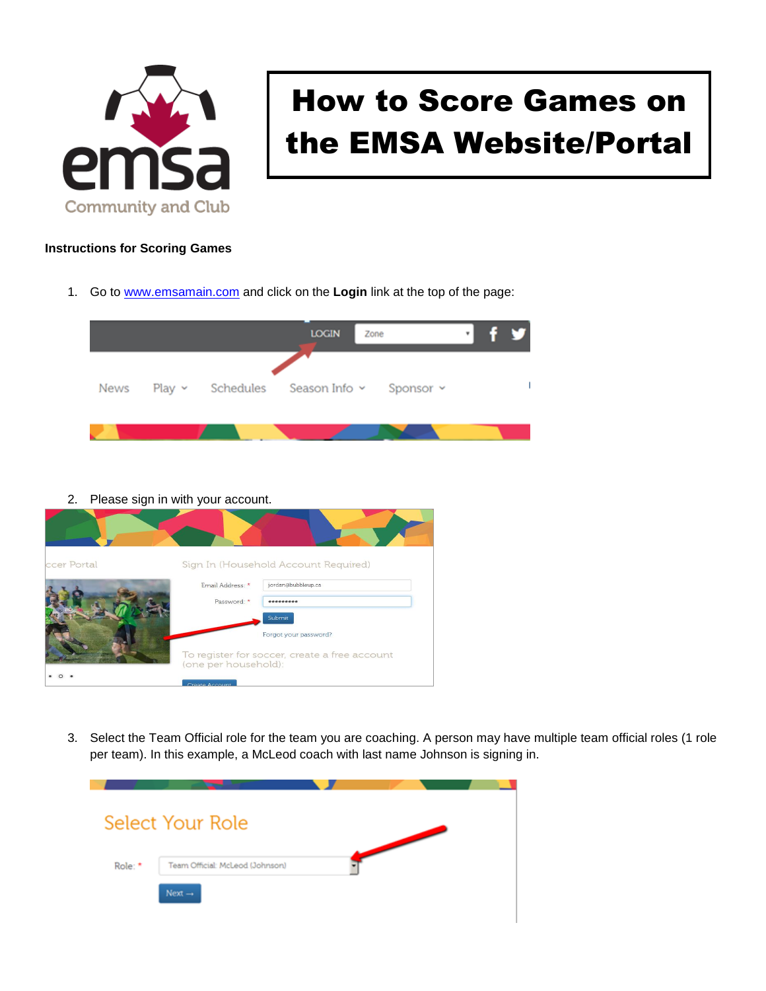

## How to Score Games on the EMSA Website/Portal

## **Instructions for Scoring Games**

1. Go to [www.emsamain.com](http://www.emsamain.com/) and click on the **Login** link at the top of the page:



2. Please sign in with your account.



3. Select the Team Official role for the team you are coaching. A person may have multiple team official roles (1 role per team). In this example, a McLeod coach with last name Johnson is signing in.

|         | <b>Select Your Role</b>         |  |  |
|---------|---------------------------------|--|--|
|         |                                 |  |  |
| Role: * | Team Official: McLeod (Johnson) |  |  |
|         | Next $\rightarrow$              |  |  |
|         |                                 |  |  |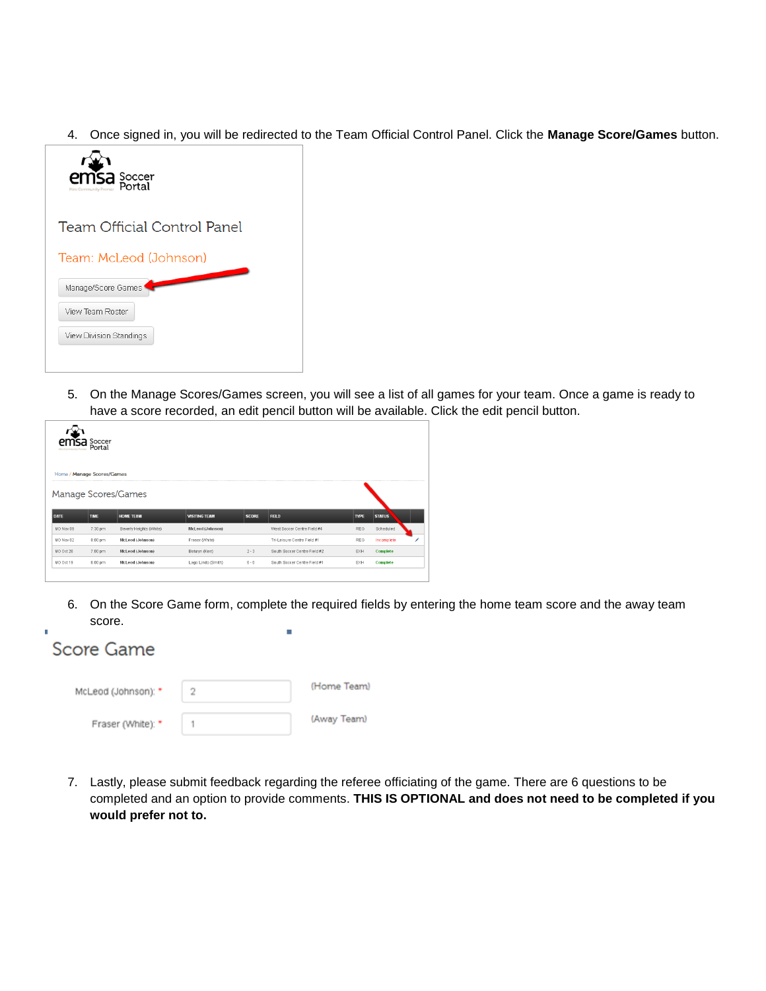4. Once signed in, you will be redirected to the Team Official Control Panel. Click the **Manage Score/Games** button.



5. On the Manage Scores/Games screen, you will see a list of all games for your team. Once a game is ready to have a score recorded, an edit pencil button will be available. Click the edit pencil button.

|           | <b>TSA</b> Soccer          |                         |                      |              |                              |             |               |   |
|-----------|----------------------------|-------------------------|----------------------|--------------|------------------------------|-------------|---------------|---|
| -------   | Home / Manage Scores/Games |                         |                      |              |                              |             |               |   |
|           |                            | Manage Scores/Games     |                      |              |                              |             |               |   |
| DATE      | <b>TIME</b>                | <b>HOME TEAM</b>        | <b>VISITING TEAM</b> | <b>SCORE</b> | FIELD                        | <b>TYPE</b> | <b>STATUS</b> |   |
|           |                            |                         |                      |              |                              |             |               |   |
| MO Nov 09 | 7:30 pm                    | Beverly Heights (White) | McLeod (Johnson)     |              | West Soccer Centre Field #4  | <b>REG</b>  | Scheduled     |   |
| MO Nov 02 | 8:00 pm                    | McLeod (Johnson)        | Fraser (White)       |              | Tri-Leisure Centre Field #1  | REG         | Incomplete    | ∕ |
| MO Oct 26 | 7:00 pm                    | McLeod (Johnson)        | Baturyn (Kerr)       | $2 - 3$      | South Soccer Centre Field #2 | EXH         | Complete      |   |
| MO Oct 19 | 6:00 pm                    | McLeod (Johnson)        | Lago Lindo (Smith)   | $6 - 0$      | South Soccer Centre Field #1 | EXH         | Complete      |   |

6. On the Score Game form, complete the required fields by entering the home team score and the away team score.

| Score Game          |   |             |
|---------------------|---|-------------|
| McLeod (Johnson): * | 2 | (Home Team) |
| Fraser (White): *   |   | (Away Team) |

'n

7. Lastly, please submit feedback regarding the referee officiating of the game. There are 6 questions to be completed and an option to provide comments. **THIS IS OPTIONAL and does not need to be completed if you would prefer not to.**